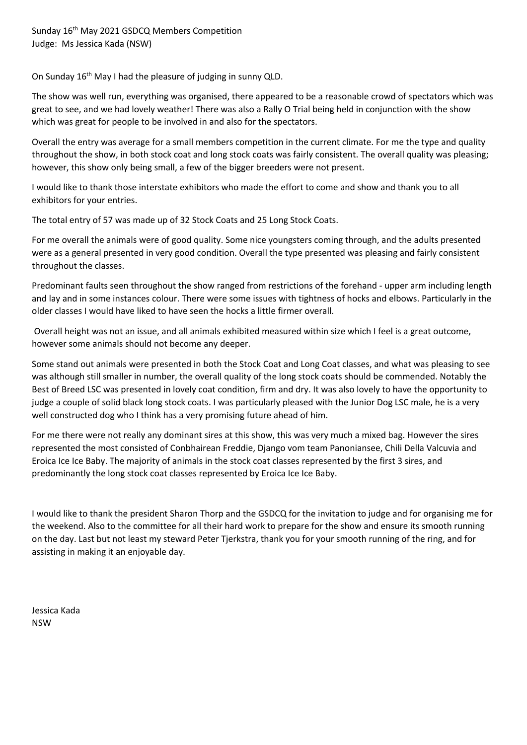On Sunday 16<sup>th</sup> May I had the pleasure of judging in sunny QLD.

The show was well run, everything was organised, there appeared to be a reasonable crowd of spectators which was great to see, and we had lovely weather! There was also a Rally O Trial being held in conjunction with the show which was great for people to be involved in and also for the spectators.

Overall the entry was average for a small members competition in the current climate. For me the type and quality throughout the show, in both stock coat and long stock coats was fairly consistent. The overall quality was pleasing; however, this show only being small, a few of the bigger breeders were not present.

I would like to thank those interstate exhibitors who made the effort to come and show and thank you to all exhibitors for your entries.

The total entry of 57 was made up of 32 Stock Coats and 25 Long Stock Coats.

For me overall the animals were of good quality. Some nice youngsters coming through, and the adults presented were as a general presented in very good condition. Overall the type presented was pleasing and fairly consistent throughout the classes.

Predominant faults seen throughout the show ranged from restrictions of the forehand - upper arm including length and lay and in some instances colour. There were some issues with tightness of hocks and elbows. Particularly in the older classes I would have liked to have seen the hocks a little firmer overall.

Overall height was not an issue, and all animals exhibited measured within size which I feel is a great outcome, however some animals should not become any deeper.

Some stand out animals were presented in both the Stock Coat and Long Coat classes, and what was pleasing to see was although still smaller in number, the overall quality of the long stock coats should be commended. Notably the Best of Breed LSC was presented in lovely coat condition, firm and dry. It was also lovely to have the opportunity to judge a couple of solid black long stock coats. I was particularly pleased with the Junior Dog LSC male, he is a very well constructed dog who I think has a very promising future ahead of him.

For me there were not really any dominant sires at this show, this was very much a mixed bag. However the sires represented the most consisted of Conbhairean Freddie, Django vom team Panoniansee, Chili Della Valcuvia and Eroica Ice Ice Baby. The majority of animals in the stock coat classes represented by the first 3 sires, and predominantly the long stock coat classes represented by Eroica Ice Ice Baby.

I would like to thank the president Sharon Thorp and the GSDCQ for the invitation to judge and for organising me for the weekend. Also to the committee for all their hard work to prepare for the show and ensure its smooth running on the day. Last but not least my steward Peter Tjerkstra, thank you for your smooth running of the ring, and for assisting in making it an enjoyable day.

Jessica Kada NSW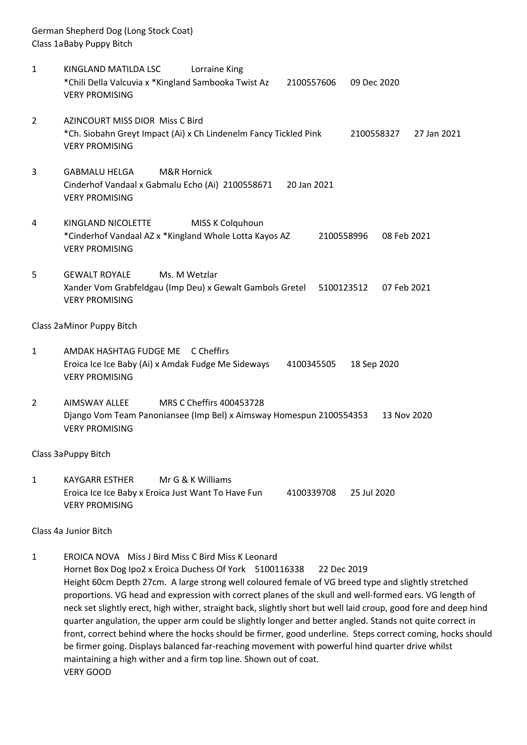German Shepherd Dog (Long Stock Coat) Class 1aBaby Puppy Bitch

- 1 KINGLAND MATILDA LSC Lorraine King \*Chili Della Valcuvia x \*Kingland Sambooka Twist Az 2100557606 09 Dec 2020 VERY PROMISING
- 2 AZINCOURT MISS DIOR Miss C Bird \*Ch. Siobahn Greyt Impact (Ai) x Ch Lindenelm Fancy Tickled Pink 2100558327 27 Jan 2021 VERY PROMISING
- 3 GABMALU HELGA M&R Hornick Cinderhof Vandaal x Gabmalu Echo (Ai) 2100558671 20 Jan 2021 VERY PROMISING
- 4 KINGLAND NICOLETTE MISS K Colquhoun \*Cinderhof Vandaal AZ x \*Kingland Whole Lotta Kayos AZ 2100558996 08 Feb 2021 VERY PROMISING
- 5 GEWALT ROYALE Ms. M Wetzlar Xander Vom Grabfeldgau (Imp Deu) x Gewalt Gambols Gretel 5100123512 07 Feb 2021 VERY PROMISING

#### Class 2aMinor Puppy Bitch

- 1 AMDAK HASHTAG FUDGE ME C Cheffirs Eroica Ice Ice Baby (Ai) x Amdak Fudge Me Sideways 4100345505 18 Sep 2020 VERY PROMISING
- 2 AIMSWAY ALLEE MRS C Cheffirs 400453728 Django Vom Team Panoniansee (Imp Bel) x Aimsway Homespun 2100554353 13 Nov 2020 VERY PROMISING

#### Class 3aPuppy Bitch

1 KAYGARR ESTHER Mr G & K Williams Eroica Ice Ice Baby x Eroica Just Want To Have Fun 4100339708 25 Jul 2020 VERY PROMISING

Class 4a Junior Bitch

1 EROICA NOVA Miss J Bird Miss C Bird Miss K Leonard Hornet Box Dog Ipo2 x Eroica Duchess Of York 5100116338 22 Dec 2019 Height 60cm Depth 27cm. A large strong well coloured female of VG breed type and slightly stretched proportions. VG head and expression with correct planes of the skull and well-formed ears. VG length of neck set slightly erect, high wither, straight back, slightly short but well laid croup, good fore and deep hind quarter angulation, the upper arm could be slightly longer and better angled. Stands not quite correct in front, correct behind where the hocks should be firmer, good underline. Steps correct coming, hocks should be firmer going. Displays balanced far-reaching movement with powerful hind quarter drive whilst maintaining a high wither and a firm top line. Shown out of coat. VERY GOOD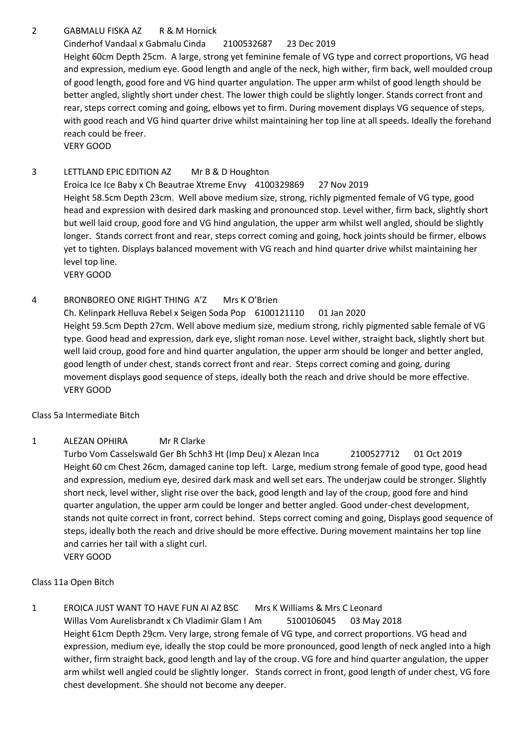# 2 GABMALU FISKA AZ R & M Hornick

# Cinderhof Vandaal x Gabmalu Cinda 2100532687 23 Dec 2019

Height 60cm Depth 25cm. A large, strong yet feminine female of VG type and correct proportions, VG head and expression, medium eye. Good length and angle of the neck, high wither, firm back, well moulded croup of good length, good fore and VG hind quarter angulation. The upper arm whilst of good length should be better angled, slightly short under chest. The lower thigh could be slightly longer. Stands correct front and rear, steps correct coming and going, elbows yet to firm. During movement displays VG sequence of steps, with good reach and VG hind quarter drive whilst maintaining her top line at all speeds. Ideally the forehand reach could be freer.

VERY GOOD

## 3 LETTLAND EPIC EDITION AZ Mr B & D Houghton

Eroica Ice Ice Baby x Ch Beautrae Xtreme Envy 4100329869 27 Nov 2019 Height 58.5cm Depth 23cm. Well above medium size, strong, richly pigmented female of VG type, good head and expression with desired dark masking and pronounced stop. Level wither, firm back, slightly short but well laid croup, good fore and VG hind angulation, the upper arm whilst well angled, should be slightly longer. Stands correct front and rear, steps correct coming and going, hock joints should be firmer, elbows yet to tighten. Displays balanced movement with VG reach and hind quarter drive whilst maintaining her level top line.

VERY GOOD

## 4 BRONBOREO ONE RIGHT THING A'Z Mrs K O'Brien

Ch. Kelinpark Helluva Rebel x Seigen Soda Pop 6100121110 01 Jan 2020 Height 59.5cm Depth 27cm. Well above medium size, medium strong, richly pigmented sable female of VG type. Good head and expression, dark eye, slight roman nose. Level wither, straight back, slightly short but well laid croup, good fore and hind quarter angulation, the upper arm should be longer and better angled, good length of under chest, stands correct front and rear. Steps correct coming and going, during movement displays good sequence of steps, ideally both the reach and drive should be more effective. VERY GOOD

Class 5a Intermediate Bitch

## 1 ALEZAN OPHIRA Mr R Clarke

Turbo Vom Casselswald Ger Bh Schh3 Ht (Imp Deu) x Alezan Inca 2100527712 01 Oct 2019 Height 60 cm Chest 26cm, damaged canine top left. Large, medium strong female of good type, good head and expression, medium eye, desired dark mask and well set ears. The underjaw could be stronger. Slightly short neck, level wither, slight rise over the back, good length and lay of the croup, good fore and hind quarter angulation, the upper arm could be longer and better angled. Good under-chest development, stands not quite correct in front, correct behind. Steps correct coming and going, Displays good sequence of steps, ideally both the reach and drive should be more effective. During movement maintains her top line and carries her tail with a slight curl. VERY GOOD

## Class 11a Open Bitch

1 EROICA JUST WANT TO HAVE FUN AI AZ BSC Mrs K Williams & Mrs C Leonard Willas Vom Aurelisbrandt x Ch Vladimir Glam I Am 5100106045 03 May 2018 Height 61cm Depth 29cm. Very large, strong female of VG type, and correct proportions. VG head and expression, medium eye, ideally the stop could be more pronounced, good length of neck angled into a high wither, firm straight back, good length and lay of the croup. VG fore and hind quarter angulation, the upper arm whilst well angled could be slightly longer. Stands correct in front, good length of under chest, VG fore chest development. She should not become any deeper.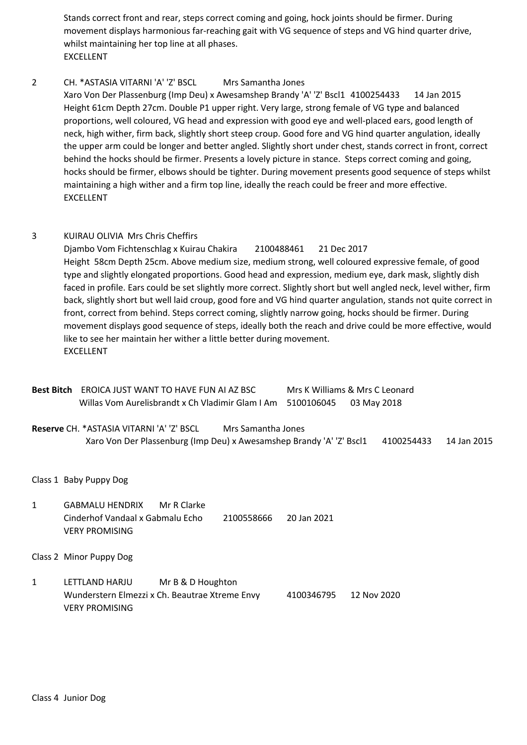Stands correct front and rear, steps correct coming and going, hock joints should be firmer. During movement displays harmonious far-reaching gait with VG sequence of steps and VG hind quarter drive, whilst maintaining her top line at all phases. EXCELLENT

#### 2 CH. \*ASTASIA VITARNI 'A' 'Z' BSCL Mrs Samantha Jones

Xaro Von Der Plassenburg (Imp Deu) x Awesamshep Brandy 'A' 'Z' Bscl1 4100254433 14 Jan 2015 Height 61cm Depth 27cm. Double P1 upper right. Very large, strong female of VG type and balanced proportions, well coloured, VG head and expression with good eye and well-placed ears, good length of neck, high wither, firm back, slightly short steep croup. Good fore and VG hind quarter angulation, ideally the upper arm could be longer and better angled. Slightly short under chest, stands correct in front, correct behind the hocks should be firmer. Presents a lovely picture in stance. Steps correct coming and going, hocks should be firmer, elbows should be tighter. During movement presents good sequence of steps whilst maintaining a high wither and a firm top line, ideally the reach could be freer and more effective. EXCELLENT

#### 3 KUIRAU OLIVIA Mrs Chris Cheffirs

Djambo Vom Fichtenschlag x Kuirau Chakira 2100488461 21 Dec 2017 Height 58cm Depth 25cm. Above medium size, medium strong, well coloured expressive female, of good type and slightly elongated proportions. Good head and expression, medium eye, dark mask, slightly dish faced in profile. Ears could be set slightly more correct. Slightly short but well angled neck, level wither, firm back, slightly short but well laid croup, good fore and VG hind quarter angulation, stands not quite correct in front, correct from behind. Steps correct coming, slightly narrow going, hocks should be firmer. During movement displays good sequence of steps, ideally both the reach and drive could be more effective, would like to see her maintain her wither a little better during movement. EXCELLENT

- **Best Bitch** EROICA JUST WANT TO HAVE FUN AI AZ BSC Mrs K Williams & Mrs C Leonard Willas Vom Aurelisbrandt x Ch Vladimir Glam I Am 5100106045 03 May 2018
- **Reserve** CH. \*ASTASIA VITARNI 'A' 'Z' BSCL Mrs Samantha Jones Xaro Von Der Plassenburg (Imp Deu) x Awesamshep Brandy 'A' 'Z' Bscl1 4100254433 14 Jan 2015

Class 1 Baby Puppy Dog

1 GABMALU HENDRIX Mr R Clarke Cinderhof Vandaal x Gabmalu Echo 2100558666 20 Jan 2021 VERY PROMISING

Class 2 Minor Puppy Dog

1 LETTLAND HARJU Mr B & D Houghton Wunderstern Elmezzi x Ch. Beautrae Xtreme Envy 4100346795 12 Nov 2020 VERY PROMISING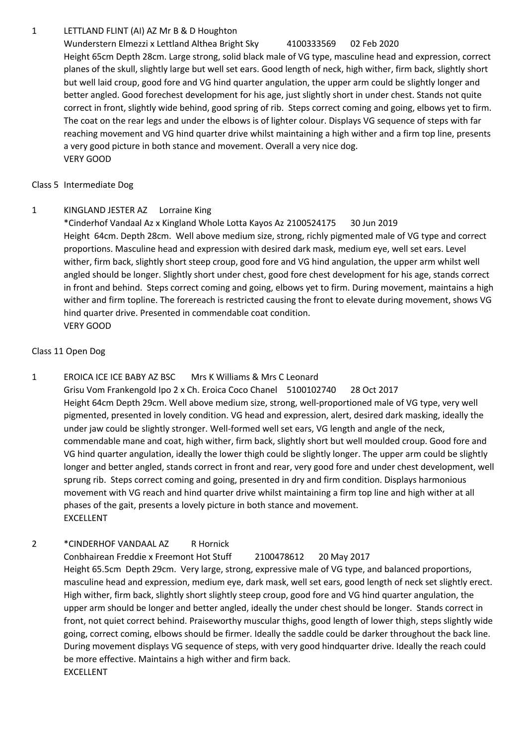## 1 LETTLAND FLINT (AI) AZ Mr B & D Houghton

Wunderstern Elmezzi x Lettland Althea Bright Sky 4100333569 02 Feb 2020

Height 65cm Depth 28cm. Large strong, solid black male of VG type, masculine head and expression, correct planes of the skull, slightly large but well set ears. Good length of neck, high wither, firm back, slightly short but well laid croup, good fore and VG hind quarter angulation, the upper arm could be slightly longer and better angled. Good forechest development for his age, just slightly short in under chest. Stands not quite correct in front, slightly wide behind, good spring of rib. Steps correct coming and going, elbows yet to firm. The coat on the rear legs and under the elbows is of lighter colour. Displays VG sequence of steps with far reaching movement and VG hind quarter drive whilst maintaining a high wither and a firm top line, presents a very good picture in both stance and movement. Overall a very nice dog. VERY GOOD

Class 5 Intermediate Dog

# 1 KINGLAND JESTER AZ Lorraine King

\*Cinderhof Vandaal Az x Kingland Whole Lotta Kayos Az 2100524175 30 Jun 2019 Height 64cm. Depth 28cm. Well above medium size, strong, richly pigmented male of VG type and correct proportions. Masculine head and expression with desired dark mask, medium eye, well set ears. Level wither, firm back, slightly short steep croup, good fore and VG hind angulation, the upper arm whilst well angled should be longer. Slightly short under chest, good fore chest development for his age, stands correct in front and behind. Steps correct coming and going, elbows yet to firm. During movement, maintains a high wither and firm topline. The forereach is restricted causing the front to elevate during movement, shows VG hind quarter drive. Presented in commendable coat condition. VERY GOOD

## Class 11 Open Dog

# 1 EROICA ICE ICE BABY AZ BSC Mrs K Williams & Mrs C Leonard

Grisu Vom Frankengold Ipo 2 x Ch. Eroica Coco Chanel 5100102740 28 Oct 2017 Height 64cm Depth 29cm. Well above medium size, strong, well-proportioned male of VG type, very well pigmented, presented in lovely condition. VG head and expression, alert, desired dark masking, ideally the under jaw could be slightly stronger. Well-formed well set ears, VG length and angle of the neck, commendable mane and coat, high wither, firm back, slightly short but well moulded croup. Good fore and VG hind quarter angulation, ideally the lower thigh could be slightly longer. The upper arm could be slightly longer and better angled, stands correct in front and rear, very good fore and under chest development, well sprung rib. Steps correct coming and going, presented in dry and firm condition. Displays harmonious movement with VG reach and hind quarter drive whilst maintaining a firm top line and high wither at all phases of the gait, presents a lovely picture in both stance and movement. EXCELLENT

# 2 \*CINDERHOF VANDAAL AZ R Hornick

# Conbhairean Freddie x Freemont Hot Stuff 2100478612 20 May 2017

Height 65.5cm Depth 29cm. Very large, strong, expressive male of VG type, and balanced proportions, masculine head and expression, medium eye, dark mask, well set ears, good length of neck set slightly erect. High wither, firm back, slightly short slightly steep croup, good fore and VG hind quarter angulation, the upper arm should be longer and better angled, ideally the under chest should be longer. Stands correct in front, not quiet correct behind. Praiseworthy muscular thighs, good length of lower thigh, steps slightly wide going, correct coming, elbows should be firmer. Ideally the saddle could be darker throughout the back line. During movement displays VG sequence of steps, with very good hindquarter drive. Ideally the reach could be more effective. Maintains a high wither and firm back. EXCELLENT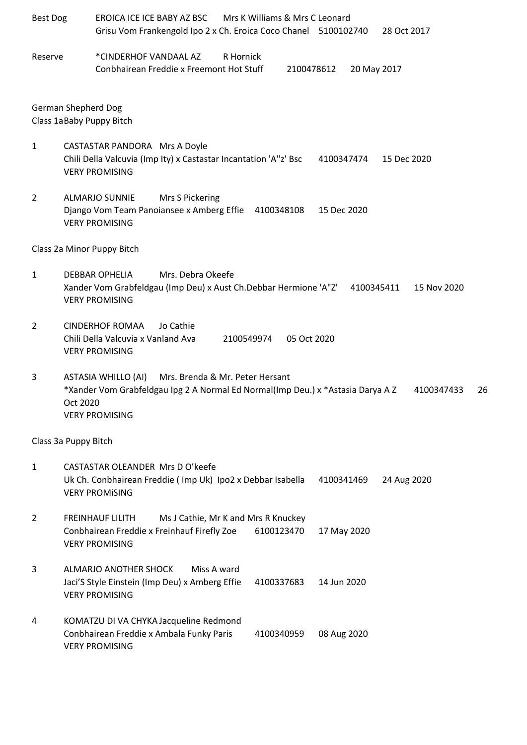| <b>Best Dog</b> | EROICA ICE ICE BABY AZ BSC<br>Mrs K Williams & Mrs C Leonard<br>Grisu Vom Frankengold Ipo 2 x Ch. Eroica Coco Chanel 5100102740<br>28 Oct 2017                                                     |  |  |  |  |  |
|-----------------|----------------------------------------------------------------------------------------------------------------------------------------------------------------------------------------------------|--|--|--|--|--|
| Reserve         | *CINDERHOF VANDAAL AZ<br>R Hornick<br>Conbhairean Freddie x Freemont Hot Stuff<br>20 May 2017<br>2100478612                                                                                        |  |  |  |  |  |
|                 | <b>German Shepherd Dog</b><br>Class 1aBaby Puppy Bitch                                                                                                                                             |  |  |  |  |  |
| $\mathbf{1}$    | <b>CASTASTAR PANDORA Mrs A Doyle</b><br>Chili Della Valcuvia (Imp Ity) x Castastar Incantation 'A"z' Bsc<br>15 Dec 2020<br>4100347474<br><b>VERY PROMISING</b>                                     |  |  |  |  |  |
| $\overline{2}$  | <b>ALMARJO SUNNIE</b><br>Mrs S Pickering<br>Django Vom Team Panoiansee x Amberg Effie 4100348108<br>15 Dec 2020<br><b>VERY PROMISING</b>                                                           |  |  |  |  |  |
|                 | Class 2a Minor Puppy Bitch                                                                                                                                                                         |  |  |  |  |  |
| 1               | Mrs. Debra Okeefe<br><b>DEBBAR OPHELIA</b><br>Xander Vom Grabfeldgau (Imp Deu) x Aust Ch.Debbar Hermione 'A"Z'<br>4100345411<br>15 Nov 2020<br><b>VERY PROMISING</b>                               |  |  |  |  |  |
| 2               | <b>CINDERHOF ROMAA</b><br>Jo Cathie<br>Chili Della Valcuvia x Vanland Ava<br>2100549974<br>05 Oct 2020<br><b>VERY PROMISING</b>                                                                    |  |  |  |  |  |
| 3               | ASTASIA WHILLO (AI)<br>Mrs. Brenda & Mr. Peter Hersant<br>*Xander Vom Grabfeldgau Ipg 2 A Normal Ed Normal(Imp Deu.) x *Astasia Darya A Z<br>26<br>4100347433<br>Oct 2020<br><b>VERY PROMISING</b> |  |  |  |  |  |
|                 | Class 3a Puppy Bitch                                                                                                                                                                               |  |  |  |  |  |
| $\mathbf{1}$    | CASTASTAR OLEANDER Mrs D O'keefe<br>Uk Ch. Conbhairean Freddie (Imp Uk) Ipo2 x Debbar Isabella<br>24 Aug 2020<br>4100341469<br><b>VERY PROMISING</b>                                               |  |  |  |  |  |
| $\overline{2}$  | <b>FREINHAUF LILITH</b><br>Ms J Cathie, Mr K and Mrs R Knuckey<br>Conbhairean Freddie x Freinhauf Firefly Zoe<br>6100123470<br>17 May 2020<br><b>VERY PROMISING</b>                                |  |  |  |  |  |
| 3               | ALMARJO ANOTHER SHOCK<br>Miss A ward<br>Jaci'S Style Einstein (Imp Deu) x Amberg Effie<br>4100337683<br>14 Jun 2020<br><b>VERY PROMISING</b>                                                       |  |  |  |  |  |
| 4               | KOMATZU DI VA CHYKA Jacqueline Redmond<br>Conbhairean Freddie x Ambala Funky Paris<br>08 Aug 2020<br>4100340959<br><b>VERY PROMISING</b>                                                           |  |  |  |  |  |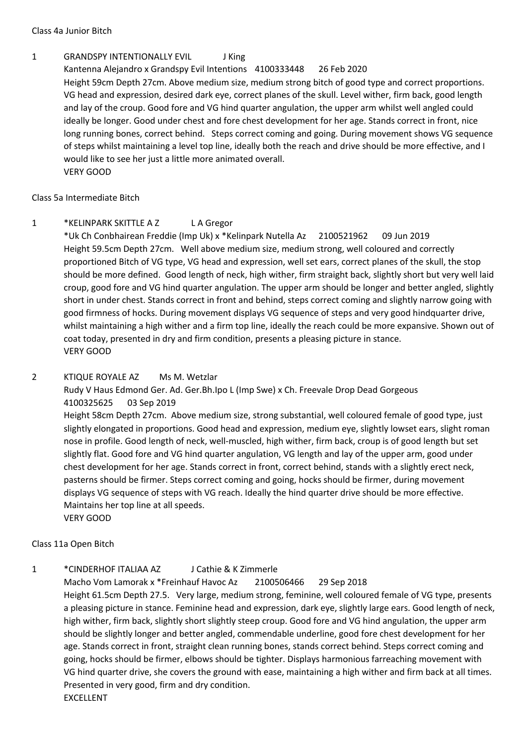Class 4a Junior Bitch

## 1 GRANDSPY INTENTIONALLY EVIL J King

Kantenna Alejandro x Grandspy Evil Intentions 4100333448 26 Feb 2020 Height 59cm Depth 27cm. Above medium size, medium strong bitch of good type and correct proportions. VG head and expression, desired dark eye, correct planes of the skull. Level wither, firm back, good length and lay of the croup. Good fore and VG hind quarter angulation, the upper arm whilst well angled could ideally be longer. Good under chest and fore chest development for her age. Stands correct in front, nice long running bones, correct behind. Steps correct coming and going. During movement shows VG sequence of steps whilst maintaining a level top line, ideally both the reach and drive should be more effective, and I would like to see her just a little more animated overall. VERY GOOD

Class 5a Intermediate Bitch

## 1 \*KELINPARK SKITTLE A Z L A Gregor

\*Uk Ch Conbhairean Freddie (Imp Uk) x \*Kelinpark Nutella Az 2100521962 09 Jun 2019 Height 59.5cm Depth 27cm. Well above medium size, medium strong, well coloured and correctly proportioned Bitch of VG type, VG head and expression, well set ears, correct planes of the skull, the stop should be more defined. Good length of neck, high wither, firm straight back, slightly short but very well laid croup, good fore and VG hind quarter angulation. The upper arm should be longer and better angled, slightly short in under chest. Stands correct in front and behind, steps correct coming and slightly narrow going with good firmness of hocks. During movement displays VG sequence of steps and very good hindquarter drive, whilst maintaining a high wither and a firm top line, ideally the reach could be more expansive. Shown out of coat today, presented in dry and firm condition, presents a pleasing picture in stance. VERY GOOD

## 2 KTIQUE ROYALE AZ Ms M. Wetzlar

Rudy V Haus Edmond Ger. Ad. Ger.Bh.Ipo L (Imp Swe) x Ch. Freevale Drop Dead Gorgeous 4100325625 03 Sep 2019

Height 58cm Depth 27cm. Above medium size, strong substantial, well coloured female of good type, just slightly elongated in proportions. Good head and expression, medium eye, slightly lowset ears, slight roman nose in profile. Good length of neck, well-muscled, high wither, firm back, croup is of good length but set slightly flat. Good fore and VG hind quarter angulation, VG length and lay of the upper arm, good under chest development for her age. Stands correct in front, correct behind, stands with a slightly erect neck, pasterns should be firmer. Steps correct coming and going, hocks should be firmer, during movement displays VG sequence of steps with VG reach. Ideally the hind quarter drive should be more effective. Maintains her top line at all speeds. VERY GOOD

Class 11a Open Bitch

## 1 \*CINDERHOF ITALIAA AZ L Cathie & K Zimmerle

Macho Vom Lamorak x \*Freinhauf Havoc Az 2100506466 29 Sep 2018 Height 61.5cm Depth 27.5. Very large, medium strong, feminine, well coloured female of VG type, presents a pleasing picture in stance. Feminine head and expression, dark eye, slightly large ears. Good length of neck, high wither, firm back, slightly short slightly steep croup. Good fore and VG hind angulation, the upper arm should be slightly longer and better angled, commendable underline, good fore chest development for her age. Stands correct in front, straight clean running bones, stands correct behind. Steps correct coming and going, hocks should be firmer, elbows should be tighter. Displays harmonious farreaching movement with VG hind quarter drive, she covers the ground with ease, maintaining a high wither and firm back at all times. Presented in very good, firm and dry condition. EXCELLENT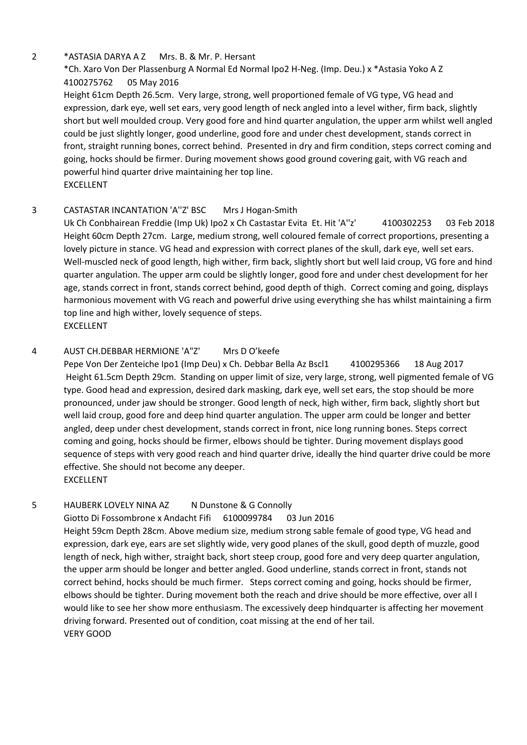#### 2 \*ASTASIA DARYA A Z Mrs. B. & Mr. P. Hersant

# \*Ch. Xaro Von Der Plassenburg A Normal Ed Normal Ipo2 H-Neg. (Imp. Deu.) x \*Astasia Yoko A Z 4100275762 05 May 2016

Height 61cm Depth 26.5cm. Very large, strong, well proportioned female of VG type, VG head and expression, dark eye, well set ears, very good length of neck angled into a level wither, firm back, slightly short but well moulded croup. Very good fore and hind quarter angulation, the upper arm whilst well angled could be just slightly longer, good underline, good fore and under chest development, stands correct in front, straight running bones, correct behind. Presented in dry and firm condition, steps correct coming and going, hocks should be firmer. During movement shows good ground covering gait, with VG reach and powerful hind quarter drive maintaining her top line. EXCELLENT

## 3 CASTASTAR INCANTATION 'A''Z' BSC Mrs J Hogan-Smith

Uk Ch Conbhairean Freddie (Imp Uk) Ipo2 x Ch Castastar Evita Et. Hit 'A''z' 4100302253 03 Feb 2018 Height 60cm Depth 27cm. Large, medium strong, well coloured female of correct proportions, presenting a lovely picture in stance. VG head and expression with correct planes of the skull, dark eye, well set ears. Well-muscled neck of good length, high wither, firm back, slightly short but well laid croup, VG fore and hind quarter angulation. The upper arm could be slightly longer, good fore and under chest development for her age, stands correct in front, stands correct behind, good depth of thigh. Correct coming and going, displays harmonious movement with VG reach and powerful drive using everything she has whilst maintaining a firm top line and high wither, lovely sequence of steps. **EXCELLENT** 

## 4 AUST CH.DEBBAR HERMIONE 'A"Z' Mrs D O'keefe

Pepe Von Der Zenteiche Ipo1 (Imp Deu) x Ch. Debbar Bella Az Bscl1 4100295366 18 Aug 2017 Height 61.5cm Depth 29cm. Standing on upper limit of size, very large, strong, well pigmented female of VG type. Good head and expression, desired dark masking, dark eye, well set ears, the stop should be more pronounced, under jaw should be stronger. Good length of neck, high wither, firm back, slightly short but well laid croup, good fore and deep hind quarter angulation. The upper arm could be longer and better angled, deep under chest development, stands correct in front, nice long running bones. Steps correct coming and going, hocks should be firmer, elbows should be tighter. During movement displays good sequence of steps with very good reach and hind quarter drive, ideally the hind quarter drive could be more effective. She should not become any deeper. EXCELLENT

## 5 HAUBERK LOVELY NINA AZ N Dunstone & G Connolly

## Giotto Di Fossombrone x Andacht Fifi 6100099784 03 Jun 2016

Height 59cm Depth 28cm. Above medium size, medium strong sable female of good type, VG head and expression, dark eye, ears are set slightly wide, very good planes of the skull, good depth of muzzle, good length of neck, high wither, straight back, short steep croup, good fore and very deep quarter angulation, the upper arm should be longer and better angled. Good underline, stands correct in front, stands not correct behind, hocks should be much firmer. Steps correct coming and going, hocks should be firmer, elbows should be tighter. During movement both the reach and drive should be more effective, over all I would like to see her show more enthusiasm. The excessively deep hindquarter is affecting her movement driving forward. Presented out of condition, coat missing at the end of her tail. VERY GOOD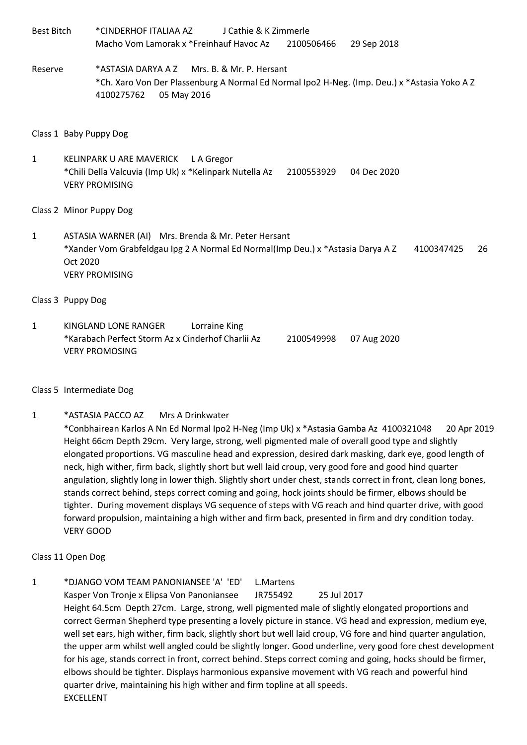Best Bitch \*CINDERHOF ITALIAA AZ J Cathie & K Zimmerle Macho Vom Lamorak x \*Freinhauf Havoc Az 2100506466 29 Sep 2018 Reserve \*ASTASIA DARYA A Z Mrs. B. & Mr. P. Hersant \*Ch. Xaro Von Der Plassenburg A Normal Ed Normal Ipo2 H-Neg. (Imp. Deu.) x \*Astasia Yoko A Z 4100275762 05 May 2016

#### Class 1 Baby Puppy Dog

1 KELINPARK U ARE MAVERICK L A Gregor \*Chili Della Valcuvia (Imp Uk) x \*Kelinpark Nutella Az 2100553929 04 Dec 2020 VERY PROMISING

#### Class 2 Minor Puppy Dog

1 ASTASIA WARNER (AI) Mrs. Brenda & Mr. Peter Hersant \*Xander Vom Grabfeldgau Ipg 2 A Normal Ed Normal(Imp Deu.) x \*Astasia Darya A Z 4100347425 26 Oct 2020 VERY PROMISING

#### Class 3 Puppy Dog

1 KINGLAND LONE RANGER Lorraine King \*Karabach Perfect Storm Az x Cinderhof Charlii Az 2100549998 07 Aug 2020 VERY PROMOSING

#### Class 5 Intermediate Dog

1 \*ASTASIA PACCO AZ Mrs A Drinkwater

\*Conbhairean Karlos A Nn Ed Normal Ipo2 H-Neg (Imp Uk) x \*Astasia Gamba Az 4100321048 20 Apr 2019 Height 66cm Depth 29cm. Very large, strong, well pigmented male of overall good type and slightly elongated proportions. VG masculine head and expression, desired dark masking, dark eye, good length of neck, high wither, firm back, slightly short but well laid croup, very good fore and good hind quarter angulation, slightly long in lower thigh. Slightly short under chest, stands correct in front, clean long bones, stands correct behind, steps correct coming and going, hock joints should be firmer, elbows should be tighter. During movement displays VG sequence of steps with VG reach and hind quarter drive, with good forward propulsion, maintaining a high wither and firm back, presented in firm and dry condition today. VERY GOOD

#### Class 11 Open Dog

1 \*DJANGO VOM TEAM PANONIANSEE 'A' 'ED' L.Martens Kasper Von Tronje x Elipsa Von Panoniansee JR755492 25 Jul 2017 Height 64.5cm Depth 27cm. Large, strong, well pigmented male of slightly elongated proportions and correct German Shepherd type presenting a lovely picture in stance. VG head and expression, medium eye, well set ears, high wither, firm back, slightly short but well laid croup, VG fore and hind quarter angulation, the upper arm whilst well angled could be slightly longer. Good underline, very good fore chest development for his age, stands correct in front, correct behind. Steps correct coming and going, hocks should be firmer, elbows should be tighter. Displays harmonious expansive movement with VG reach and powerful hind quarter drive, maintaining his high wither and firm topline at all speeds. EXCELLENT